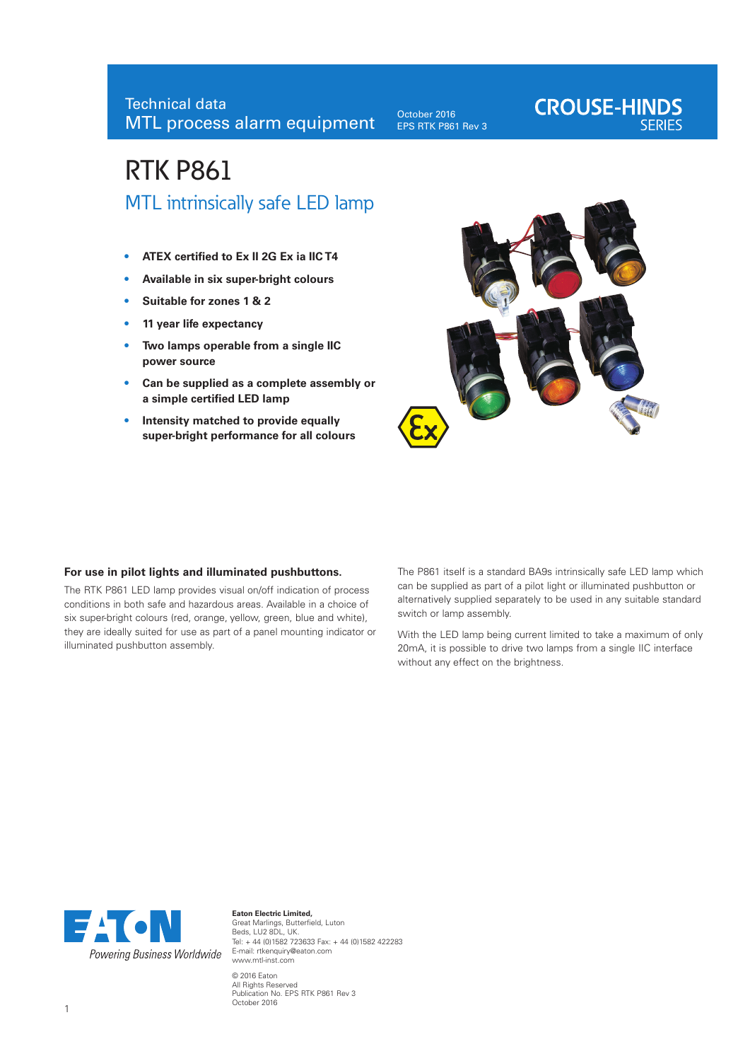October 2016 EPS RTK P861 Rev 3

# **CROUSE-HINDS**

# RTK P861 MTL intrinsically safe LED lamp

- **• ATEX certified to Ex II 2G Ex ia IIC T4**
- **• Available in six super-bright colours**
- **Suitable for zones 1 & 2**
- **• 11 year life expectancy**
- **• Two lamps operable from a single IIC power source**
- **• Can be supplied as a complete assembly or a simple certified LED lamp**
- **• Intensity matched to provide equally super-bright performance for all colours**



# **For use in pilot lights and illuminated pushbuttons.**

The RTK P861 LED lamp provides visual on/off indication of process conditions in both safe and hazardous areas. Available in a choice of six super-bright colours (red, orange, yellow, green, blue and white), they are ideally suited for use as part of a panel mounting indicator or illuminated pushbutton assembly.

The P861 itself is a standard BA9s intrinsically safe LED lamp which can be supplied as part of a pilot light or illuminated pushbutton or alternatively supplied separately to be used in any suitable standard switch or lamp assembly.

With the LED lamp being current limited to take a maximum of only 20mA, it is possible to drive two lamps from a single IIC interface without any effect on the brightness.



**Eaton Electric Limited,**  Great Marlings, Butterfield, Luton Beds, LU2 8DL, UK. Tel: + 44 (0)1582 723633 Fax: + 44 (0)1582 422283 E-mail: rtkenquiry@eaton.com www.mtl-inst.com © 2016 Eaton

All Rights Reserved Publication No. EPS RTK P861 Rev 3 October 2016 <sup>1</sup>